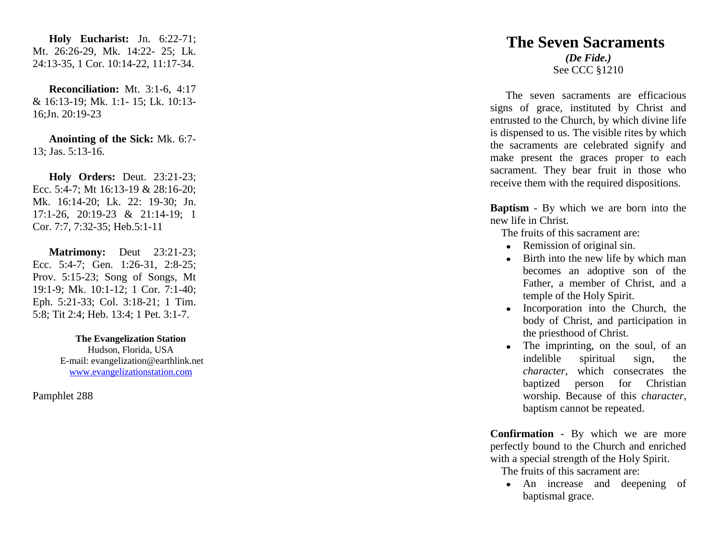**Holy Eucharist:** Jn. 6:22 -71; Mt. 26:26 -29, Mk. 14:22 - 25; Lk. 24:13 -35, 1 Cor. 10:14 -22, 11:17 -34.

**Reconciliation:** Mt. 3:1 -6, 4:17 & 16:13 -19; Mk. 1:1 - 15; Lk. 10:13 - 16;Jn. 20:19 -23

**Anointing of the Sick:** Mk. 6:7 - 13; Jas. 5:13 -16.

**Holy Orders:** Deut. 23:21 -23; Ecc. 5:4-7; Mt 16:13-19 & 28:16-20; Mk. 16:14 -20; Lk. 22: 19 -30; Jn. 17:1 -26, 20:19 -23 & 21:14 -19; 1 Cor. 7:7, 7:32 -35; Heb.5:1 -11

**Matrimony:** Deut 23:21-23; Ecc. 5:4-7; Gen. 1:26-31, 2:8-25; Prov. 5:15 -23; Song of Songs, Mt 19:1 -9; Mk. 10:1 -12; 1 Cor. 7:1 -40; Eph. 5:21 -33; Col. 3:18 -21; 1 Tim. 5:8; Tit 2:4; Heb. 13:4; 1 Pet. 3:1 -7.

> **The Evangelization Station** Hudson, Florida, USA E -mail: evangelization@earthlink.net [www.evangelizationstation.com](http://www.pjpiisoe.org/)

Pamphlet 288

## **The Seven Sacraments** *(De Fide.)* See CCC §1210

 The seven sacraments are efficacious signs of grace, instituted by Christ and entrusted to the Church, by which divine life is dispensed to us. The visible rites by which the sacraments are celebrated signify and make present the graces proper to each sacrament. They bear fruit in those who receive them with the required dispositions.

**Baptism** - By which we are born into the new life in Christ.

The fruits of this sacrament are:

- Remission of original sin.
- Birth into the new life by which man becomes an adoptive son of the Father, a member of Christ, and a temple of the Holy Spirit.
- Incorporation into the Church, the body of Christ, and participation in the priesthood of Christ.
- The imprinting, on the soul, of an indelible spiritual sign, the *character,* which consecrates the baptized person for Christian worship. Because of this *character*, baptism cannot be repeated.

**Confirmation** - By which we are more perfectly bound to the Church and enriched with a special strength of the Holy Spirit.

The fruits of this sacrament are:

An increase and deepening of baptismal grace.